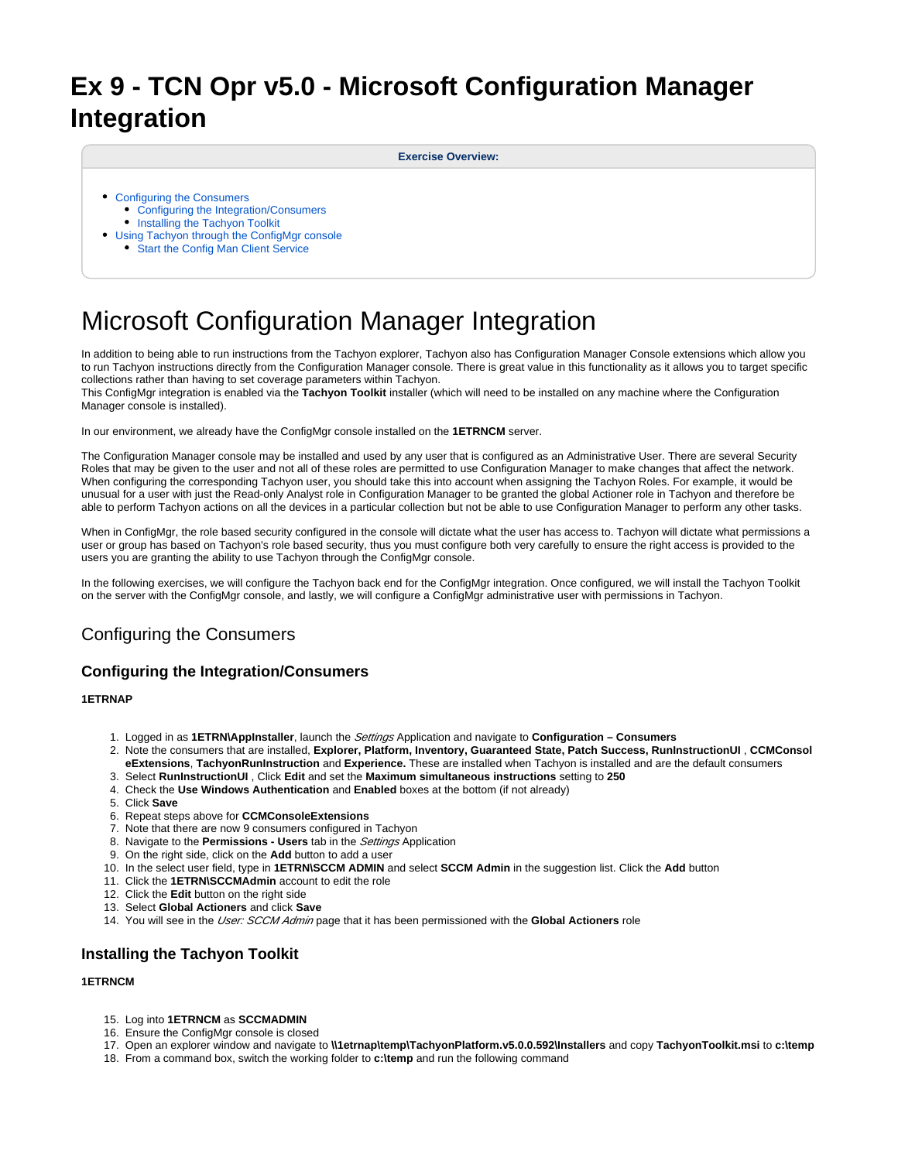# **Ex 9 - TCN Opr v5.0 - Microsoft Configuration Manager Integration**

#### **Exercise Overview:**

- [Configuring the Consumers](#page-0-0)
	- [Configuring the Integration/Consumers](#page-0-1) • [Installing the Tachyon Toolkit](#page-0-2)
- [Using Tachyon through the ConfigMgr console](#page-1-0)
	- [Start the Config Man Client Service](#page-1-1)

# Microsoft Configuration Manager Integration

In addition to being able to run instructions from the Tachyon explorer, Tachyon also has Configuration Manager Console extensions which allow you to run Tachyon instructions directly from the Configuration Manager console. There is great value in this functionality as it allows you to target specific collections rather than having to set coverage parameters within Tachyon.

This ConfigMgr integration is enabled via the **Tachyon Toolkit** installer (which will need to be installed on any machine where the Configuration Manager console is installed).

In our environment, we already have the ConfigMgr console installed on the **1ETRNCM** server.

The Configuration Manager console may be installed and used by any user that is configured as an Administrative User. There are several Security Roles that may be given to the user and not all of these roles are permitted to use Configuration Manager to make changes that affect the network. When configuring the corresponding Tachyon user, you should take this into account when assigning the Tachyon Roles. For example, it would be unusual for a user with just the Read-only Analyst role in Configuration Manager to be granted the global Actioner role in Tachyon and therefore be able to perform Tachyon actions on all the devices in a particular collection but not be able to use Configuration Manager to perform any other tasks.

When in ConfigMgr, the role based security configured in the console will dictate what the user has access to. Tachyon will dictate what permissions a user or group has based on Tachyon's role based security, thus you must configure both very carefully to ensure the right access is provided to the users you are granting the ability to use Tachyon through the ConfigMgr console.

In the following exercises, we will configure the Tachyon back end for the ConfigMgr integration. Once configured, we will install the Tachyon Toolkit on the server with the ConfigMgr console, and lastly, we will configure a ConfigMgr administrative user with permissions in Tachyon.

# <span id="page-0-0"></span>Configuring the Consumers

# <span id="page-0-1"></span>**Configuring the Integration/Consumers**

## **1ETRNAP**

- 1. Logged in as **1ETRN\AppInstaller**, launch the Settings Application and navigate to **Configuration Consumers**
- 2. Note the consumers that are installed, **Explorer, Platform, Inventory, Guaranteed State, Patch Success, RunInstructionUI** , **CCMConsol eExtensions**, **TachyonRunInstruction** and **Experience.** These are installed when Tachyon is installed and are the default consumers
- 3. Select **RunInstructionUI** , Click **Edit** and set the **Maximum simultaneous instructions** setting to **250**
- 4. Check the **Use Windows Authentication** and **Enabled** boxes at the bottom (if not already)
- 5. Click **Save**
- 6. Repeat steps above for **CCMConsoleExtensions**
- 7. Note that there are now 9 consumers configured in Tachyon
- 8. Navigate to the **Permissions Users** tab in the Settings Application
- 9. On the right side, click on the **Add** button to add a user
- 10. In the select user field, type in **1ETRN\SCCM ADMIN** and select **SCCM Admin** in the suggestion list. Click the **Add** button
- 11. Click the **1ETRN\SCCMAdmin** account to edit the role
- 12. Click the **Edit** button on the right side
- 13. Select **Global Actioners** and click **Save**
- 14. You will see in the *User: SCCM Admin* page that it has been permissioned with the Global Actioners role

# <span id="page-0-2"></span>**Installing the Tachyon Toolkit**

### **1ETRNCM**

- 15. Log into **1ETRNCM** as **SCCMADMIN**
- 16. Ensure the ConfigMgr console is closed
- 17. Open an explorer window and navigate to **\\1etrnap\temp\TachyonPlatform.v5.0.0.592\Installers** and copy **TachyonToolkit.msi** to **c:\temp**
- 18. From a command box, switch the working folder to **c:\temp** and run the following command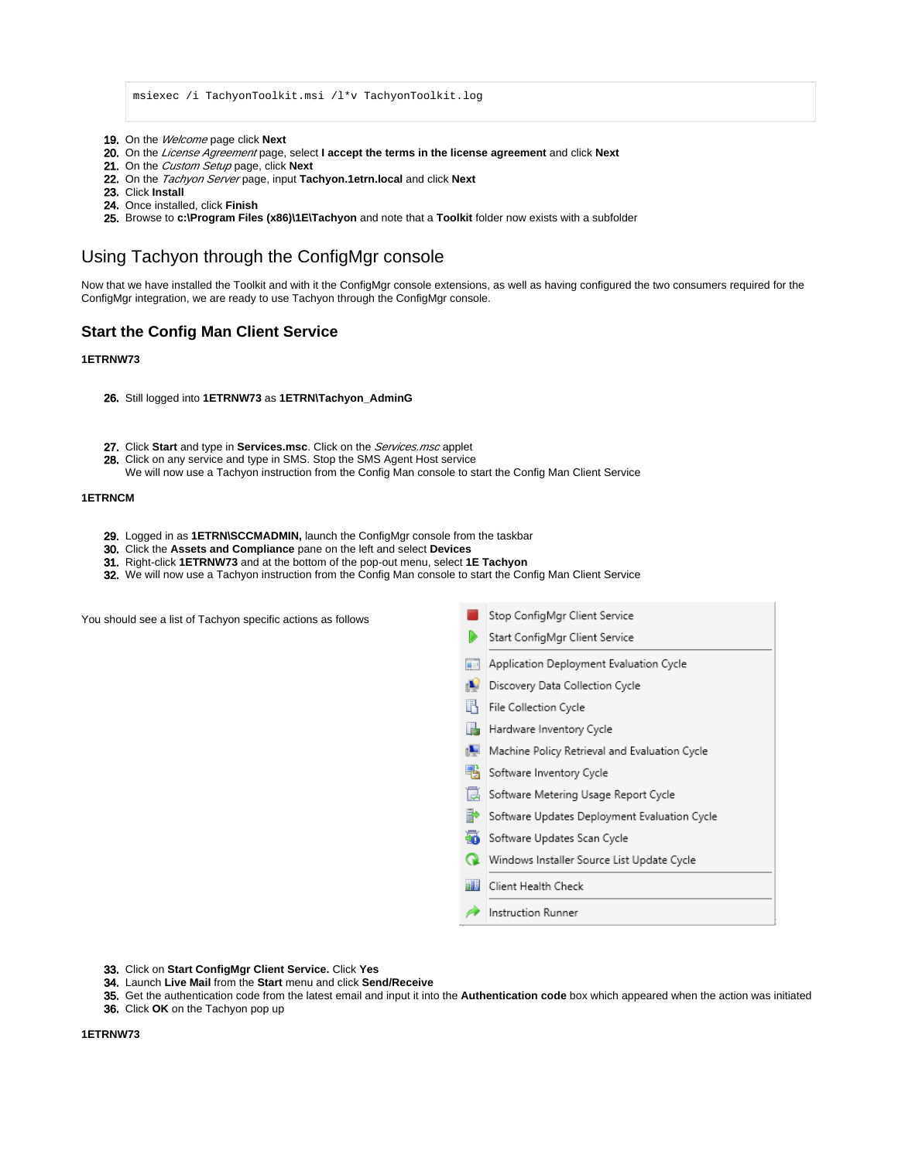msiexec /i TachyonToolkit.msi /l\*v TachyonToolkit.log

- 19. On the Welcome page click **Next**
- 20. On the License Agreement page, select **I accept the terms in the license agreement** and click **Next**
- 21. On the Custom Setup page, click **Next**
- 22. On the Tachyon Server page, input **Tachyon.1etrn.local** and click **Next**
- 23. Click **Install**
- 24. Once installed, click **Finish**
- 25. Browse to **c:\Program Files (x86)\1E\Tachyon** and note that a **Toolkit** folder now exists with a subfolder

# <span id="page-1-0"></span>Using Tachyon through the ConfigMgr console

Now that we have installed the Toolkit and with it the ConfigMgr console extensions, as well as having configured the two consumers required for the ConfigMgr integration, we are ready to use Tachyon through the ConfigMgr console.

## <span id="page-1-1"></span>**Start the Config Man Client Service**

## **1ETRNW73**

- 26. Still logged into **1ETRNW73** as **1ETRN\Tachyon\_AdminG**
- 27. Click **Start** and type in **Services.msc**. Click on the Services.msc applet
- 28. Click on any service and type in SMS. Stop the SMS Agent Host service

We will now use a Tachyon instruction from the Config Man console to start the Config Man Client Service

## **1ETRNCM**

- 29. Logged in as **1ETRN\SCCMADMIN,** launch the ConfigMgr console from the taskbar
- 30. Click the **Assets and Compliance** pane on the left and select **Devices**
- 31. Right-click **1ETRNW73** and at the bottom of the pop-out menu, select **1E Tachyon**
- 32. We will now use a Tachyon instruction from the Config Man console to start the Config Man Client Service

You should see a list of Tachyon specific actions as follows

Stop ConfigMgr Client Service

- Start ConfigMgr Client Service
- Application Deployment Evaluation Cycle
- Discovery Data Collection Cycle
- File Collection Cycle
- Hardware Inventory Cycle
- Machine Policy Retrieval and Evaluation Cycle
- Software Inventory Cycle
- Software Metering Usage Report Cycle
- Software Updates Deployment Evaluation Cycle
- Software Updates Scan Cycle
- Windows Installer Source List Update Cycle
- nid Client Health Check
- Instruction Runner
- 33. Click on **Start ConfigMgr Client Service.** Click **Yes**
- 34. Launch **Live Mail** from the **Start** menu and click **Send/Receive**

36. Click **OK** on the Tachyon pop up

<sup>35.</sup>  Get the authentication code from the latest email and input it into the **Authentication code** box which appeared when the action was initiated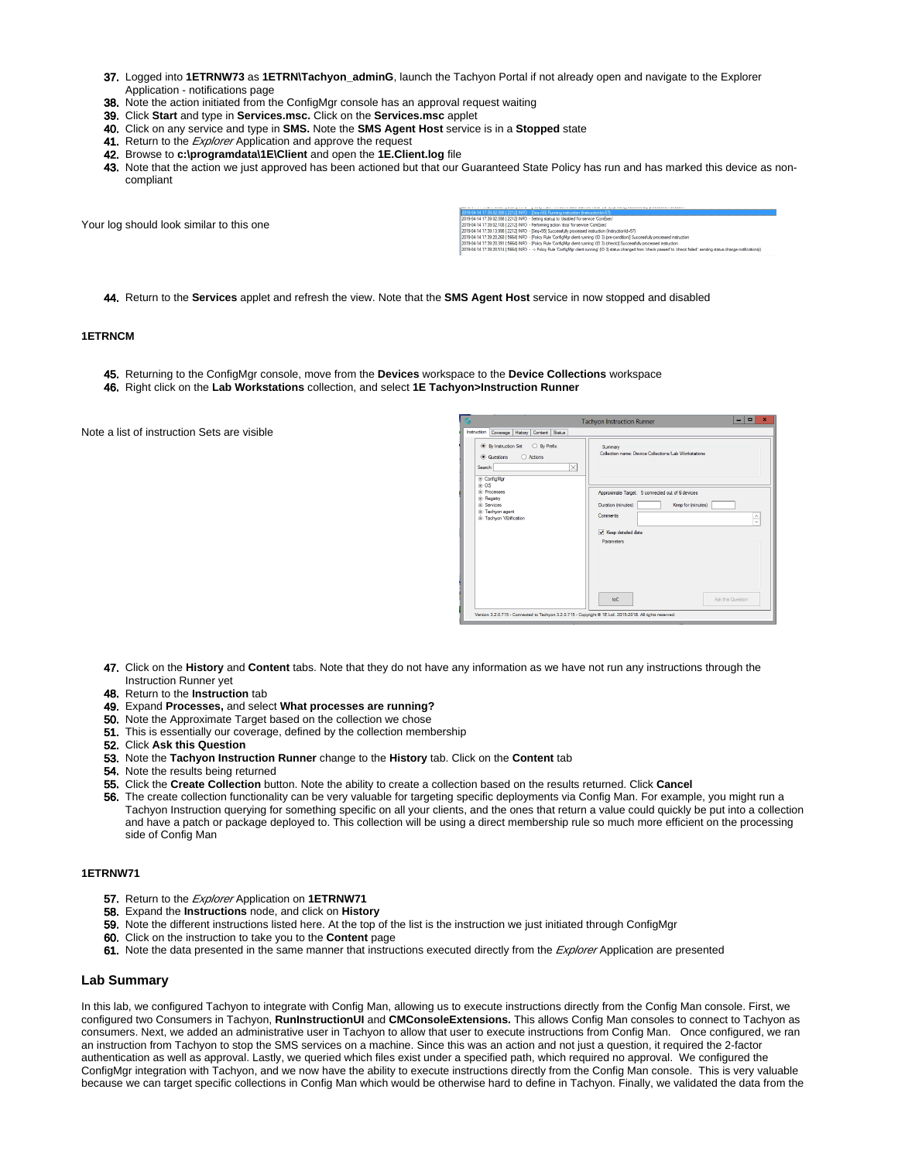- 37. Logged into **1ETRNW73** as **1ETRN\Tachyon\_adminG**, launch the Tachyon Portal if not already open and navigate to the Explorer Application - notifications page
- 38. Note the action initiated from the ConfigMgr console has an approval request waiting
- 39. Click **Start** and type in **Services.msc.** Click on the **Services.msc** applet
- 40. Click on any service and type in **SMS.** Note the **SMS Agent Host** service is in a **Stopped** state
- 41. Return to the *Explorer* Application and approve the request
- 42. Browse to **c:\programdata\1E\Client** and open the **1E.Client.log** file
- 43. Note that the action we just approved has been actioned but that our Guaranteed State Policy has run and has marked this device as noncompliant

Your log should look similar to this one

| 1/13414-14 17:39:02.0881 22121 INFO - ISea=551 Hunning instruction (InstructionId=571                                                                         |  |
|---------------------------------------------------------------------------------------------------------------------------------------------------------------|--|
| 1019-04-14 17:39:02.098 [2212] INFO - Setting startup to 'disabled' for service 'ComExec'                                                                     |  |
| 1019-04-14 17:39:02.108   22121 INFO - Performing action 'stop' for service 'ComExec'                                                                         |  |
| 1019-04-14 17:39:13.998 [2212] INFO - [Sea=55] Successfully processed instruction (Instruction)d=57                                                           |  |
| 019-04-14 17:39:20.268 [ 5664] INFO - [Policy Rule 'ConfigMgr client running' (ID 3) (pre-condition)] Successfully processed instruction                      |  |
| 1019-04-14 17:39:20.391   56641 INFO - [Policy Rule 'ConfigMar client running' (ID 3) (check)] Successfully processed instruction                             |  |
| 010 04 14 17 10:00 PLAT RPP 41 INTO  . Data: Out Modellas share a serie of D. Rogers description thank concerte the deal dead and series share and series the |  |

44. Return to the **Services** applet and refresh the view. Note that the **SMS Agent Host** service in now stopped and disabled

### **1ETRNCM**

- 45. Returning to the ConfigMgr console, move from the **Devices** workspace to the **Device Collections** workspace
- 46. Right click on the **Lab Workstations** collection, and select **1E Tachyon>Instruction Runner**

Note a list of instruction Sets are visible

| ø<br>×<br>$\Box$<br><b>Tachyon Instruction Runner</b>                                                                                                                                                                                                                                   |                                                                                                                                                                                                                                                  |  |
|-----------------------------------------------------------------------------------------------------------------------------------------------------------------------------------------------------------------------------------------------------------------------------------------|--------------------------------------------------------------------------------------------------------------------------------------------------------------------------------------------------------------------------------------------------|--|
| <b>Instruction</b><br>Coverage   History   Content   Status<br><b>O</b> By Instruction Set<br>◯ By Prefix<br>Cuestions<br>○ Actions<br>$\times$<br>Search<br>E ConfigMar<br>$R - OS$<br><b>Processes</b><br>E-Registry<br><b>E-Services</b><br>E-Tachyon agent<br>E-Tachyon VErfication | Summary<br>Collection name: Device Collections/Lab Workstations<br>Approximate Target: 5 connected out of 6 devices<br>Duration (minutes)<br>Keep for (minutes)<br>Comments<br>÷<br>Keep detailed data<br>Parameters<br>InC<br>Ask this Question |  |
| Version 3.2.0.715 - Connected to Tachyon 3.2.0.715 - Copyright @ 1E Ltd. 2015-2018. All rights reserved.                                                                                                                                                                                |                                                                                                                                                                                                                                                  |  |

- 47. Click on the **History** and **Content** tabs. Note that they do not have any information as we have not run any instructions through the Instruction Runner yet
- 48. Return to the **Instruction** tab
- 49. Expand **Processes,** and select **What processes are running?**
- 50. Note the Approximate Target based on the collection we chose
- 51. This is essentially our coverage, defined by the collection membership
- 52. Click **Ask this Question**
- 53. Note the **Tachyon Instruction Runner** change to the **History** tab. Click on the **Content** tab
- 54. Note the results being returned
- 55. Click the **Create Collection** button. Note the ability to create a collection based on the results returned. Click **Cancel**
- 56. The create collection functionality can be very valuable for targeting specific deployments via Config Man. For example, you might run a Tachyon Instruction querying for something specific on all your clients, and the ones that return a value could quickly be put into a collection and have a patch or package deployed to. This collection will be using a direct membership rule so much more efficient on the processing side of Config Man

#### **1ETRNW71**

- 57. Return to the Explorer Application on **1ETRNW71**
- 58. Expand the **Instructions** node, and click on **History**
- 59. Note the different instructions listed here. At the top of the list is the instruction we just initiated through ConfigMgr
- 60. Click on the instruction to take you to the **Content** page
- 61. Note the data presented in the same manner that instructions executed directly from the *Explorer* Application are presented

#### **Lab Summary**

In this lab, we configured Tachyon to integrate with Config Man, allowing us to execute instructions directly from the Config Man console. First, we configured two Consumers in Tachyon, **RunInstructionUI** and **CMConsoleExtensions.** This allows Config Man consoles to connect to Tachyon as consumers. Next, we added an administrative user in Tachyon to allow that user to execute instructions from Config Man. Once configured, we ran an instruction from Tachyon to stop the SMS services on a machine. Since this was an action and not just a question, it required the 2-factor authentication as well as approval. Lastly, we queried which files exist under a specified path, which required no approval. We configured the ConfigMgr integration with Tachyon, and we now have the ability to execute instructions directly from the Config Man console. This is very valuable because we can target specific collections in Config Man which would be otherwise hard to define in Tachyon. Finally, we validated the data from the